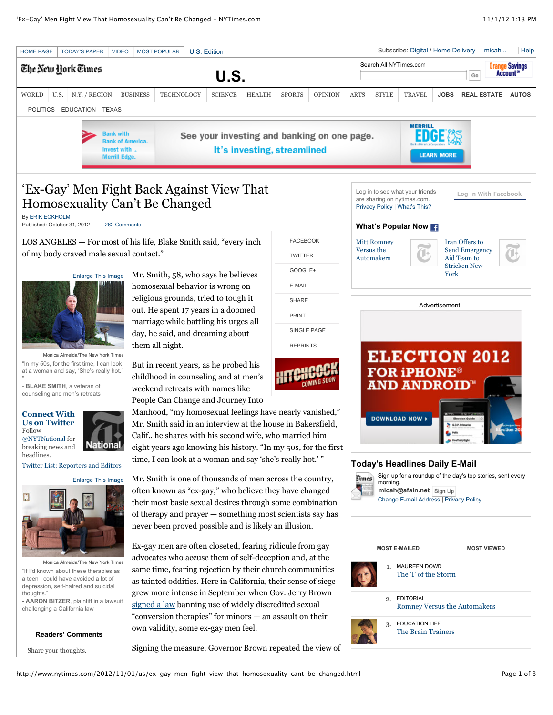T.



FACEBOOK TWITTER GOOGLE+ E-MAIL SHARE [PRINT](http://www.nytimes.com/2012/11/01/us/ex-gay-men-fight-view-that-homosexuality-cant-be-changed.html?pagewanted=print) [SINGLE PAGE](http://www.nytimes.com/2012/11/01/us/ex-gay-men-fight-view-that-homosexuality-cant-be-changed.html?pagewanted=all) REPRINTS

# 'Ex-Gay' Men Fight Back Against View That Homosexuality Can't Be Changed

By [ERIK ECKHOLM](http://topics.nytimes.com/top/reference/timestopics/people/e/erik_eckholm/index.html)

Published: October 31, 2012 | [262 Comments](http://www.nytimes.com/2012/11/01/us/ex-gay-men-fight-view-that-homosexuality-cant-be-changed.html#commentsContainer)

LOS ANGELES — For most of his life, Blake Smith said, "every inch of my body craved male sexual contact."



Monica Almeida/The New York Times "In my 50s, for the first time, I can look at a woman and say, 'She's really hot.'

" - **BLAKE SMITH**, a veteran of counseling and men's retreats

### **[Connect With](https://twitter.com/#!/nytnational) Us on Twitter** Follow [@NYTNational](https://twitter.com/#!/nytnational) for

**National** breaking news and headlines.

[Twitter List: Reporters and Editors](https://twitter.com/#!/NYTNational/nyt-national-journalists/members)



Monica Almeida/The New York Times "If I'd known about these therapies as a teen I could have avoided a lot of depression, self-hatred and suicidal thoughts.

**- AARON BITZER**, plaintiff in a lawsuit challenging a California law

#### **Readers' Comments**

Share your thoughts.

Mr. Smith, 58, who says he believes homosexual behavior is wrong on religious grounds, tried to tough it out. He spent 17 years in a doomed marriage while battling his urges all day, he said, and dreaming about them all night.

But in recent years, as he probed his childhood in counseling and at men's weekend retreats with names like People Can Change and Journey Into

Manhood, "my homosexual feelings have nearly vanished," Mr. Smith said in an interview at the house in Bakersfield,

Calif., he shares with his second wife, who married him eight years ago knowing his history. "In my 50s, for the first time, I can look at a woman and say 'she's really hot.' "

Mr. Smith is one of thousands of men across the country, often known as "ex-gay," who believe they have changed their most basic sexual desires through some combination of therapy and prayer — something most scientists say has never been proved possible and is likely an illusion.

Ex-gay men are often closeted, fearing ridicule from gay advocates who accuse them of self-deception and, at the same time, fearing rejection by their church communities as tainted oddities. Here in California, their sense of siege grew more intense in September when Gov. Jerry Brown [signed a law](http://www.nytimes.com/2012/10/01/us/california-bans-therapies-to-cure-gay-minors.html) banning use of widely discredited sexual "conversion therapies" for minors — an assault on their own validity, some ex-gay men feel.

Signing the measure, Governor Brown repeated the view of



are sharing on nytimes.com.



## **Today's Headlines Daily E-Mail**







- 1. MAUREEN DOWD [The 'I' of the Storm](http://www.nytimes.com/2012/10/31/opinion/dowd-the-i-of-the-storm.html?src=me&ref=general)
- 2. EDITORIAL [Romney Versus the Automakers](http://www.nytimes.com/2012/11/01/opinion/mitt-romney-versus-the-automakers.html?src=me&ref=general)



3. EDUCATION LIFE [The Brain Trainers](http://www.nytimes.com/2012/11/04/education/edlife/a-new-kind-of-tutoring-aims-to-make-students-smarter.html?src=me&ref=general)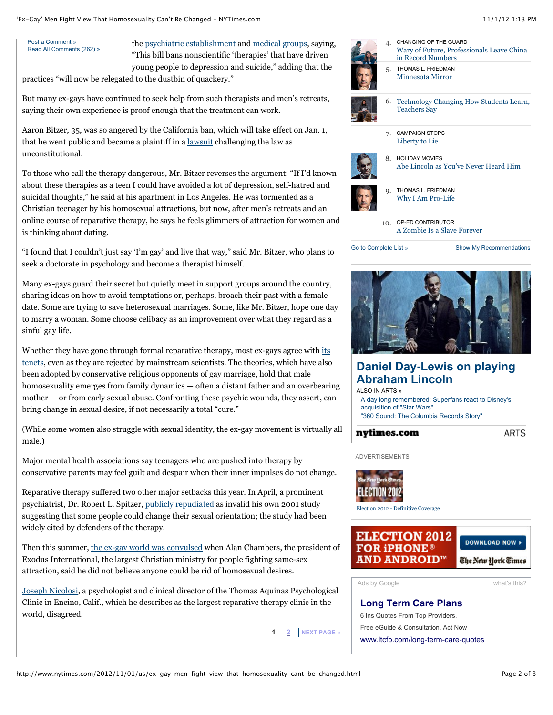[Post a Comment »](http://www.nytimes.com/2012/11/01/us/ex-gay-men-fight-view-that-homosexuality-cant-be-changed.html#postcomment) [Read All Comments \(262\) »](http://www.nytimes.com/2012/11/01/us/ex-gay-men-fight-view-that-homosexuality-cant-be-changed.html#comments)

the [psychiatric establishment](http://www.apa.org/about/policy/sexual-orientation.aspx) and [medical groups](http://www.truthwinsout.org/what-the-experts-say/), saying, "This bill bans nonscientific 'therapies' that have driven young people to depression and suicide," adding that the

practices "will now be relegated to the dustbin of quackery."

But many ex-gays have continued to seek help from such therapists and men's retreats, saying their own experience is proof enough that the treatment can work.

Aaron Bitzer, 35, was so angered by the California ban, which will take effect on Jan. 1, that he went public and became a plaintiff in a [lawsuit](http://www.pacificjustice.org/1/post/2012/09/its-official-gov-brown-signs-gay-therapy-ban-pji-filing-suit.html) challenging the law as unconstitutional.

To those who call the therapy dangerous, Mr. Bitzer reverses the argument: "If I'd known about these therapies as a teen I could have avoided a lot of depression, self-hatred and suicidal thoughts," he said at his apartment in Los Angeles. He was tormented as a Christian teenager by his homosexual attractions, but now, after men's retreats and an online course of reparative therapy, he says he feels glimmers of attraction for women and is thinking about dating.

"I found that I couldn't just say 'I'm gay' and live that way," said Mr. Bitzer, who plans to seek a doctorate in psychology and become a therapist himself.

Many ex-gays guard their secret but quietly meet in support groups around the country, sharing ideas on how to avoid temptations or, perhaps, broach their past with a female date. Some are trying to save heterosexual marriages. Some, like Mr. Bitzer, hope one day to marry a woman. Some choose celibacy as an improvement over what they regard as a sinful gay life.

[Whether they have gone through formal reparative therapy, most ex-gays agree with its](http://narth.com/) tenets, even as they are rejected by mainstream scientists. The theories, which have also been adopted by conservative religious opponents of gay marriage, hold that male homosexuality emerges from family dynamics — often a distant father and an overbearing mother — or from early sexual abuse. Confronting these psychic wounds, they assert, can bring change in sexual desire, if not necessarily a total "cure."

(While some women also struggle with sexual identity, the ex-gay movement is virtually all male.)

Major mental health associations say teenagers who are pushed into therapy by conservative parents may feel guilt and despair when their inner impulses do not change.

Reparative therapy suffered two other major setbacks this year. In April, a prominent psychiatrist, Dr. Robert L. Spitzer, [publicly repudiated](http://www.nytimes.com/2012/05/19/health/dr-robert-l-spitzer-noted-psychiatrist-apologizes-for-study-on-gay-cure.html?pagewanted=all) as invalid his own 2001 study suggesting that some people could change their sexual orientation; the study had been widely cited by defenders of the therapy.

Then this summer, [the ex-gay world was convulsed](http://www.nytimes.com/2012/07/07/us/a-leaders-renunciation-of-ex-gay-tenets-causes-a-schism.html?pagewanted=all) when Alan Chambers, the president of Exodus International, the largest Christian ministry for people fighting same-sex attraction, said he did not believe anyone could be rid of homosexual desires.

[Joseph Nicolosi,](http://josephnicolosi.com/) a psychologist and clinical director of the Thomas Aquinas Psychological Clinic in Encino, Calif., which he describes as the largest reparative therapy clinic in the world, disagreed.

**[NEXT PAGE »](http://www.nytimes.com/2012/11/01/us/ex-gay-men-fight-view-that-homosexuality-cant-be-changed.html?pagewanted=2) 1 [2](http://www.nytimes.com/2012/11/01/us/ex-gay-men-fight-view-that-homosexuality-cant-be-changed.html?pagewanted=2)**

|   |                       | 4.        | CHANGING OF THE GUARD<br>Wary of Future, Professionals Leave China<br>in Record Numbers |
|---|-----------------------|-----------|-----------------------------------------------------------------------------------------|
|   |                       | 5.        | THOMAS L. FRIEDMAN<br><b>Minnesota Mirror</b>                                           |
|   |                       |           | 6. Technology Changing How Students Learn,<br><b>Teachers Say</b>                       |
|   |                       | 7.        | <b>CAMPAIGN STOPS</b><br>Liberty to Lie                                                 |
|   |                       |           | 8. HOLIDAY MOVIES<br>Abe Lincoln as You've Never Heard Him                              |
|   |                       | <b>g.</b> | THOMAS L. FRIEDMAN<br>Why I Am Pro-Life                                                 |
| d |                       |           | 10. OP-ED CONTRIBUTOR<br>A Zombie Is a Slave Forever                                    |
|   | Go to Complete List » |           | <b>Show My Recommendations</b>                                                          |
|   |                       |           |                                                                                         |
|   |                       |           |                                                                                         |



# **[Daniel Day-Lewis on playing](http://www.nytimes.com/adx/bin/adx_click.html?type=goto&opzn&page=www.nytimes.com/yr/mo/day/us&pos=Box1&sn2=71ee6088/cebc48a2&sn1=4232da88/697f951&camp=nyt2012_module_lincoln_hp_ros_db&ad=AR-D-I-NYT-MOD-MOD-M277-ROS-1112&goto=http://www.nytimes.com/2012/11/04/movies/daniel-day-lewis-on-playing-abraham-lincoln.html%3FWT.mc_id=AR-D-I-NYT-MOD-MOD-M277-ROS-1112-HDR%26WT.mc_ev=click%26WT.mc_c=198888) Abraham Lincoln**

[ALSO IN ARTS »](http://www.nytimes.com/adx/bin/adx_click.html?type=goto&opzn&page=www.nytimes.com/yr/mo/day/us&pos=Box1&sn2=71ee6088/cebc48a2&sn1=4232da88/697f951&camp=nyt2012_module_lincoln_hp_ros_db&ad=AR-D-I-NYT-MOD-MOD-M277-ROS-1112&goto=http://www.nytimes.com/pages/arts/index.html%3FWT.mc_id=AR-D-I-NYT-MOD-MOD-M277-ROS-1112-URL%26WT.mc_ev=click%26WT.mc_c=198888)

[A day long remembered: Superfans react to Disney's](http://www.nytimes.com/adx/bin/adx_click.html?type=goto&opzn&page=www.nytimes.com/yr/mo/day/us&pos=Box1&sn2=71ee6088/cebc48a2&sn1=3b3ba957/3fd81531&camp=nyt2012_module_lincoln_hp_ros_db&ad=AR-D-I-NYT-MOD-MOD-M277-ROS-1112&goto=http://artsbeat.blogs.nytimes.com/2012/10/31/a-day-long-remembered-superfans-react-to-disneys-acquisition-of-star-wars/%3FWT.mc_id=AR-D-I-NYT-MOD-MOD-M277-ROS-1112-L1%26WT.mc_ev=click%26WT.mc_c=198888) acquisition of "Star Wars" ["360 Sound: The Columbia Records Story"](http://www.nytimes.com/adx/bin/adx_click.html?type=goto&opzn&page=www.nytimes.com/yr/mo/day/us&pos=Box1&sn2=71ee6088/cebc48a2&sn1=4232da88/697f951&camp=nyt2012_module_lincoln_hp_ros_db&ad=AR-D-I-NYT-MOD-MOD-M277-ROS-1112&goto=http://www.nytimes.com/2012/10/31/books/360-sound-celebrates-columbia-records-125th-anniversary.html%3FWT.mc_id=AR-D-I-NYT-MOD-MOD-M277-ROS-1112-L2%26WT.mc_ev=click%26WT.mc_c=198888)

nytimes.com

**ARTS** 

ADVERTISEMENTS



[Election 2012 - Definitive Coverage](http://www.nytimes.com/adx/bin/adx_click.html?type=goto&opzn&page=www.nytimes.com/yr/mo/day/us&pos=Right5A&sn2=1b17fde0/1c19e60d&sn1=50c9991a/2ddc5c27&camp=nyt2012_mktg_politics_coverage_86x60_ros&ad=PO-D-I-NYT-AD-S4D-COV-ROS-0912&goto=http%3A%2F%2Fwww%2Enytimes%2Ecom%2Fpolitics%2F%3FWT%2Emc%5Fid%3DPO%2DD%2DI%2DNYT%2DAD%2DS4D%2DCOV%2DROS%2D0912%26WT%2Emc%5Fev%3Dclick%26WT%2Emc%5Fc%3D195093)



Ads by Google **by a strategies** [what's this?](http://www.nytimes.com/ref/membercenter/faq/linkingqa16.html)

# **[Long Term Care Plans](http://googleads.g.doubleclick.net/aclk?sa=l&ai=Cc0G_xKmSULv5LcvYwQGV8ICwCI7_uNIC1s7Vmx-_4R4QASCc8_gBULXQt_f4_____wFgydawiPSjnBKgAZSYlfEDyAEBqAMBqgSfAU_QQoqrBMYFolivAfSMQnLeRu5UjKDYVaenG-VOG8QlJbIssZlOxZ7_itwP0t0aZ0HwQWGQm_HC3TLLxaKa7pJYUUFZV7YlDWiikChOO3KOy_mHdLZpjg6d_qXwMROb_KRfXySkDKqR1PVZEmR4fls9_ZDSLFYGEYkNIHsuM13hMqqryi-_yWqm0QOA8eE2AVzBXDuS7ZBCkiXg5qiGFw&num=1&sig=AOD64_1Zg5s1tc2pB-P7Yd5NB_v9H4g_Sw&client=ca-nytimes_article_var&adurl=https://web.ltcfp.com/6quotes/default.aspx%3Fs%3Dg%26a%3D6FreeQuotes%26p%3D6q1)** 6 Ins Quotes From Top Providers.

Free eGuide & Consultation. Act Now

[www.ltcfp.com/long-term-care-quotes](http://googleads.g.doubleclick.net/aclk?sa=l&ai=Cc0G_xKmSULv5LcvYwQGV8ICwCI7_uNIC1s7Vmx-_4R4QASCc8_gBULXQt_f4_____wFgydawiPSjnBKgAZSYlfEDyAEBqAMBqgSfAU_QQoqrBMYFolivAfSMQnLeRu5UjKDYVaenG-VOG8QlJbIssZlOxZ7_itwP0t0aZ0HwQWGQm_HC3TLLxaKa7pJYUUFZV7YlDWiikChOO3KOy_mHdLZpjg6d_qXwMROb_KRfXySkDKqR1PVZEmR4fls9_ZDSLFYGEYkNIHsuM13hMqqryi-_yWqm0QOA8eE2AVzBXDuS7ZBCkiXg5qiGFw&num=1&sig=AOD64_1Zg5s1tc2pB-P7Yd5NB_v9H4g_Sw&client=ca-nytimes_article_var&adurl=https://web.ltcfp.com/6quotes/default.aspx%3Fs%3Dg%26a%3D6FreeQuotes%26p%3D6q1)